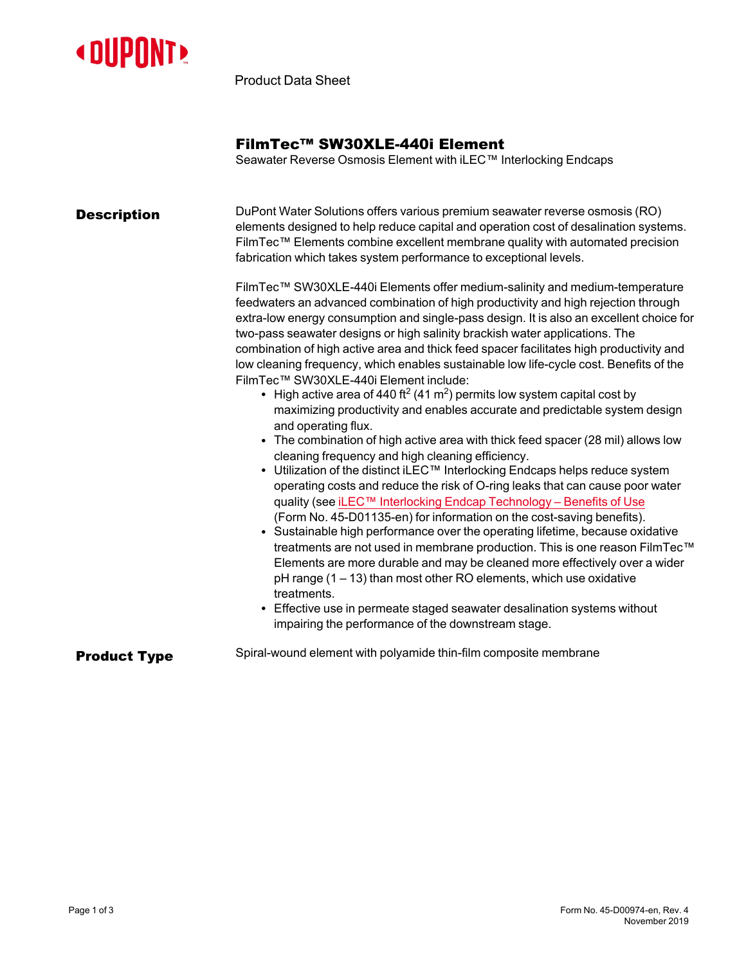

Product Data Sheet

## FilmTec™ SW30XLE-440i Element

Seawater Reverse Osmosis Element with iLEC™ Interlocking Endcaps

| <b>Description</b>  | DuPont Water Solutions offers various premium seawater reverse osmosis (RO)<br>elements designed to help reduce capital and operation cost of desalination systems.<br>FilmTec™ Elements combine excellent membrane quality with automated precision<br>fabrication which takes system performance to exceptional levels.<br>FilmTec™ SW30XLE-440i Elements offer medium-salinity and medium-temperature                                                                                                                                                                                                                                                                                                                                                                                                                                                                                                                                                        |
|---------------------|-----------------------------------------------------------------------------------------------------------------------------------------------------------------------------------------------------------------------------------------------------------------------------------------------------------------------------------------------------------------------------------------------------------------------------------------------------------------------------------------------------------------------------------------------------------------------------------------------------------------------------------------------------------------------------------------------------------------------------------------------------------------------------------------------------------------------------------------------------------------------------------------------------------------------------------------------------------------|
|                     | feedwaters an advanced combination of high productivity and high rejection through<br>extra-low energy consumption and single-pass design. It is also an excellent choice for<br>two-pass seawater designs or high salinity brackish water applications. The<br>combination of high active area and thick feed spacer facilitates high productivity and<br>low cleaning frequency, which enables sustainable low life-cycle cost. Benefits of the<br>FilmTec™ SW30XLE-440i Element include:<br>• High active area of 440 ft <sup>2</sup> (41 m <sup>2</sup> ) permits low system capital cost by<br>maximizing productivity and enables accurate and predictable system design                                                                                                                                                                                                                                                                                  |
|                     | and operating flux.<br>• The combination of high active area with thick feed spacer (28 mil) allows low<br>cleaning frequency and high cleaning efficiency.<br>• Utilization of the distinct iLEC <sup>™</sup> Interlocking Endcaps helps reduce system<br>operating costs and reduce the risk of O-ring leaks that can cause poor water<br>quality (see iLEC™ Interlocking Endcap Technology - Benefits of Use<br>(Form No. 45-D01135-en) for information on the cost-saving benefits).<br>• Sustainable high performance over the operating lifetime, because oxidative<br>treatments are not used in membrane production. This is one reason FilmTec™<br>Elements are more durable and may be cleaned more effectively over a wider<br>$pH$ range (1 – 13) than most other RO elements, which use oxidative<br>treatments.<br>• Effective use in permeate staged seawater desalination systems without<br>impairing the performance of the downstream stage. |
| <b>Product Type</b> | Spiral-wound element with polyamide thin-film composite membrane                                                                                                                                                                                                                                                                                                                                                                                                                                                                                                                                                                                                                                                                                                                                                                                                                                                                                                |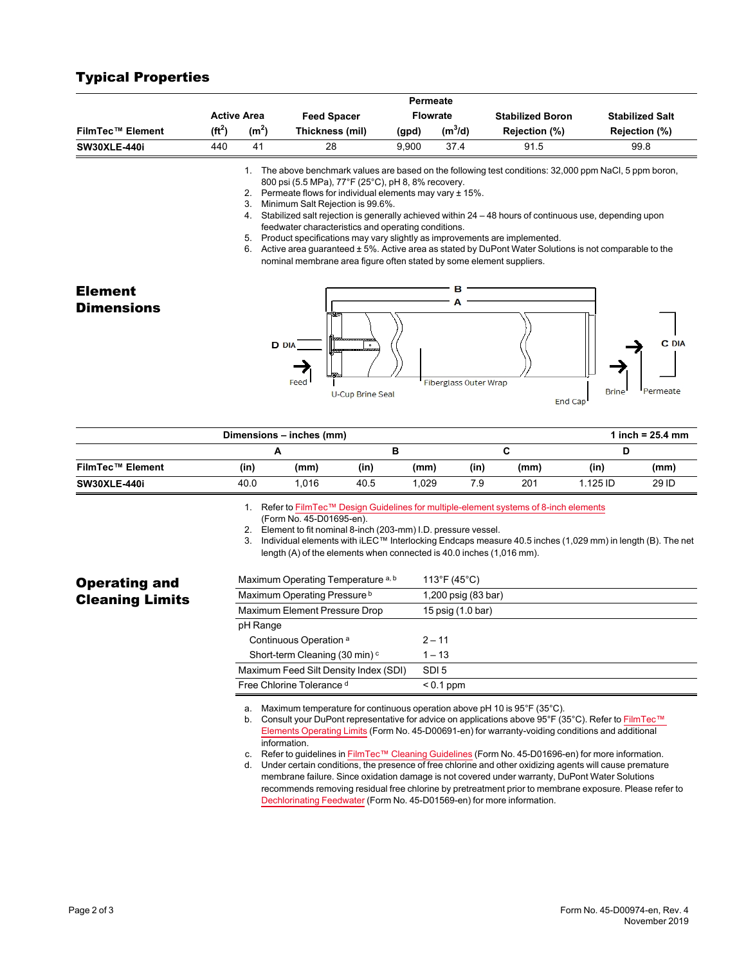| <b>Active Area</b> |                                  | <b>Feed Spacer</b> | <b>Flowrate</b> |                                  | <b>Stabilized Boron</b>                                                                                               | <b>Stabilized Salt</b>                                                                                                                                                                                                                                                                                                                                                                                                                                                                                                                   |
|--------------------|----------------------------------|--------------------|-----------------|----------------------------------|-----------------------------------------------------------------------------------------------------------------------|------------------------------------------------------------------------------------------------------------------------------------------------------------------------------------------------------------------------------------------------------------------------------------------------------------------------------------------------------------------------------------------------------------------------------------------------------------------------------------------------------------------------------------------|
| $(f t^2)$          | (m <sup>2</sup> )                | Thickness (mil)    | (gpd)           | $(m^3/d)$                        | Rejection (%)                                                                                                         | Rejection (%)                                                                                                                                                                                                                                                                                                                                                                                                                                                                                                                            |
| 440                | 41                               | 28                 | 9,900           | 37.4                             | 91.5                                                                                                                  | 99.8                                                                                                                                                                                                                                                                                                                                                                                                                                                                                                                                     |
|                    | $\mathbf{1}$ .<br>2.<br>3.<br>4. |                    |                 |                                  |                                                                                                                       |                                                                                                                                                                                                                                                                                                                                                                                                                                                                                                                                          |
|                    | 6.                               |                    |                 |                                  |                                                                                                                       |                                                                                                                                                                                                                                                                                                                                                                                                                                                                                                                                          |
|                    |                                  |                    |                 | в                                |                                                                                                                       |                                                                                                                                                                                                                                                                                                                                                                                                                                                                                                                                          |
|                    |                                  | 5.                 |                 | Minimum Salt Rejection is 99.6%. | Permeate<br>800 psi (5.5 MPa), 77°F (25°C), pH 8, 8% recovery.<br>feedwater characteristics and operating conditions. | The above benchmark values are based on the following test conditions: 32,000 ppm NaCl, 5 ppm boron,<br>Permeate flows for individual elements may vary ± 15%.<br>Stabilized salt rejection is generally achieved within $24 - 48$ hours of continuous use, depending upon<br>Product specifications may vary slightly as improvements are implemented.<br>Active area guaranteed ± 5%. Active area as stated by DuPont Water Solutions is not comparable to the<br>nominal membrane area figure often stated by some element suppliers. |

## **Dimensions – inches (mm) 1 inch = 25.4 mm A B C D FilmTec™ Element (in) (mm) (in) (mm) (in) (mm) (in) (mm) SW30XLE-440i** 40.0 1,016 40.5 1,029 7.9 201 1.125 ID 29 ID

**U-Cup Brine Seal** 

1. Refer to FilmTec™ Design Guidelines for [multiple-element](https://www.dupont.com/content/dam/dupont/amer/us/en/water-solutions/public/documents/en/RO-NF-FilmTec-Membrane-Sys-Design-Guidelines-8inch-Manual-Exc-45-D01695-en.pdf) systems of 8-inch elements

(Form No. 45-D01695-en).

2. Element to fit nominal 8-inch (203-mm) I.D. pressure vessel.<br>3. Individual elements with  $ILEC^m$  Interlocking Endcaps measu Individual elements with iLEC™ Interlocking Endcaps measure 40.5 inches (1,029 mm) in length (B). The net length (A) of the elements when connected is 40.0 inches (1,016 mm).

Fiberglass Outer Wrap

| Maximum Operating Temperature a, b        | 113°F (45°C)        |
|-------------------------------------------|---------------------|
| Maximum Operating Pressure b              | 1,200 psig (83 bar) |
| Maximum Element Pressure Drop             | 15 psig (1.0 bar)   |
| pH Range                                  |                     |
| Continuous Operation <sup>a</sup>         | $2 - 11$            |
| Short-term Cleaning (30 min) <sup>c</sup> | $1 - 13$            |
| Maximum Feed Silt Density Index (SDI)     | SDI <sub>5</sub>    |
| Free Chlorine Tolerance d                 | $< 0.1$ ppm         |

a. Maximum temperature for continuous operation above pH 10 is 95°F (35°C).

b. Consult your DuPont representative for advice on applications above 95°F (35°C). Refer to [FilmTec™](https://www.dupont.com/content/dam/dupont/amer/us/en/water-solutions/public/documents/en/RO-NF-FilmTec-Temperature-Pressure-Limits-Manual-Exc-45-D00691-en.pdf) Elements [Operating](https://www.dupont.com/content/dam/dupont/amer/us/en/water-solutions/public/documents/en/RO-NF-FilmTec-Temperature-Pressure-Limits-Manual-Exc-45-D00691-en.pdf) Limits (Form No. 45-D00691-en) for warranty-voiding conditions and additional information.

c. Refer to guidelines in FilmTec™ Cleaning [Guidelines](https://www.dupont.com/content/dam/dupont/amer/us/en/water-solutions/public/documents/en/RO-NF-FilmTec-Cleaning-Procedures-Manual-Exc-45-D01696-en.pdf) (Form No. 45-D01696-en) for more information.

d. Under certain conditions, the presence of free chlorine and other oxidizing agents will cause premature membrane failure. Since oxidation damage is not covered under warranty, DuPont Water Solutions recommends removing residual free chlorine by pretreatment prior to membrane exposure. Please refer to [Dechlorinating](https://www.dupont.com/content/dam/dupont/amer/us/en/water-solutions/public/documents/en/RO-NF-FilmTec-Chlorination-Dechlorination-Manual-Exc-45-D01569-en.pdf) Feedwater (Form No. 45-D01569-en) for more information.

Operating and Cleaning Limits

Typical Properties

**Brin** 

End Cap

Permeate